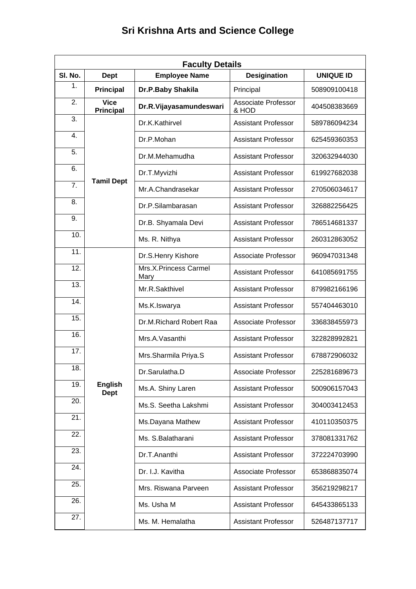|  |  |  |  | <b>Sri Krishna Arts and Science College</b> |  |
|--|--|--|--|---------------------------------------------|--|
|--|--|--|--|---------------------------------------------|--|

| <b>Faculty Details</b> |                                 |                               |                                     |                  |  |
|------------------------|---------------------------------|-------------------------------|-------------------------------------|------------------|--|
| SI. No.                | <b>Dept</b>                     | <b>Employee Name</b>          | <b>Desigination</b>                 | <b>UNIQUE ID</b> |  |
| 1.                     | <b>Principal</b>                | Dr.P.Baby Shakila             | Principal                           | 508909100418     |  |
| 2.                     | <b>Vice</b><br><b>Principal</b> | Dr.R.Vijayasamundeswari       | <b>Associate Professor</b><br>& HOD | 404508383669     |  |
| 3.                     |                                 | Dr.K.Kathirvel                | <b>Assistant Professor</b>          | 589786094234     |  |
| 4.                     |                                 | Dr.P.Mohan                    | <b>Assistant Professor</b>          | 625459360353     |  |
| 5.                     |                                 | Dr.M.Mehamudha                | <b>Assistant Professor</b>          | 320632944030     |  |
| 6.                     |                                 | Dr.T.Myvizhi                  | <b>Assistant Professor</b>          | 619927682038     |  |
| 7.                     | <b>Tamil Dept</b>               | Mr.A.Chandrasekar             | <b>Assistant Professor</b>          | 270506034617     |  |
| 8.                     |                                 | Dr.P.Silambarasan             | <b>Assistant Professor</b>          | 326882256425     |  |
| 9.                     |                                 | Dr.B. Shyamala Devi           | <b>Assistant Professor</b>          | 786514681337     |  |
| 10.                    |                                 | Ms. R. Nithya                 | <b>Assistant Professor</b>          | 260312863052     |  |
| 11.                    |                                 | Dr.S.Henry Kishore            | <b>Associate Professor</b>          | 960947031348     |  |
| 12.                    |                                 | Mrs.X.Princess Carmel<br>Mary | <b>Assistant Professor</b>          | 641085691755     |  |
| 13.                    |                                 | Mr.R.Sakthivel                | <b>Assistant Professor</b>          | 879982166196     |  |
| 14.                    |                                 | Ms.K.Iswarya                  | <b>Assistant Professor</b>          | 557404463010     |  |
| 15.                    |                                 | Dr.M.Richard Robert Raa       | <b>Associate Professor</b>          | 336838455973     |  |
| 16.                    |                                 | Mrs.A.Vasanthi                | <b>Assistant Professor</b>          | 322828992821     |  |
| 17.                    |                                 | Mrs.Sharmila Priya.S          | <b>Assistant Professor</b>          | 678872906032     |  |
| 18.                    |                                 | Dr.Sarulatha.D                | Associate Professor                 | 225281689673     |  |
| 19.                    | <b>English</b><br><b>Dept</b>   | Ms.A. Shiny Laren             | <b>Assistant Professor</b>          | 500906157043     |  |
| 20.                    |                                 | Ms.S. Seetha Lakshmi          | <b>Assistant Professor</b>          | 304003412453     |  |
| 21.                    |                                 | Ms.Dayana Mathew              | <b>Assistant Professor</b>          | 410110350375     |  |
| 22.                    |                                 | Ms. S.Balatharani             | <b>Assistant Professor</b>          | 378081331762     |  |
| 23.                    |                                 | Dr.T.Ananthi                  | <b>Assistant Professor</b>          | 372224703990     |  |
| 24.                    |                                 | Dr. I.J. Kavitha              | Associate Professor                 | 653868835074     |  |
| 25.                    |                                 | Mrs. Riswana Parveen          | <b>Assistant Professor</b>          | 356219298217     |  |
| 26.                    |                                 | Ms. Usha M                    | <b>Assistant Professor</b>          | 645433865133     |  |
| 27.                    |                                 | Ms. M. Hemalatha              | <b>Assistant Professor</b>          | 526487137717     |  |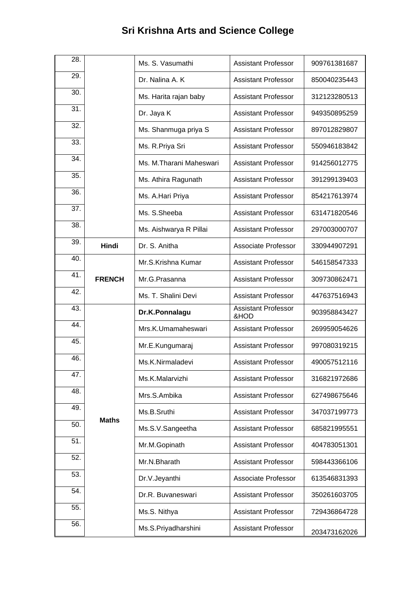| 28. |               | Ms. S. Vasumathi        | <b>Assistant Professor</b>         | 909761381687 |
|-----|---------------|-------------------------|------------------------------------|--------------|
| 29. |               | Dr. Nalina A. K         | <b>Assistant Professor</b>         | 850040235443 |
| 30. |               | Ms. Harita rajan baby   | <b>Assistant Professor</b>         | 312123280513 |
| 31. |               | Dr. Jaya K              | <b>Assistant Professor</b>         | 949350895259 |
| 32. |               | Ms. Shanmuga priya S    | <b>Assistant Professor</b>         | 897012829807 |
| 33. |               | Ms. R. Priya Sri        | <b>Assistant Professor</b>         | 550946183842 |
| 34. |               | Ms. M.Tharani Maheswari | <b>Assistant Professor</b>         | 914256012775 |
| 35. |               | Ms. Athira Ragunath     | <b>Assistant Professor</b>         | 391299139403 |
| 36. |               | Ms. A.Hari Priya        | <b>Assistant Professor</b>         | 854217613974 |
| 37. |               | Ms. S.Sheeba            | <b>Assistant Professor</b>         | 631471820546 |
| 38. |               | Ms. Aishwarya R Pillai  | <b>Assistant Professor</b>         | 297003000707 |
| 39. | Hindi         | Dr. S. Anitha           | Associate Professor                | 330944907291 |
| 40. |               | Mr.S.Krishna Kumar      | <b>Assistant Professor</b>         | 546158547333 |
| 41. | <b>FRENCH</b> | Mr.G.Prasanna           | <b>Assistant Professor</b>         | 309730862471 |
| 42. |               | Ms. T. Shalini Devi     | <b>Assistant Professor</b>         | 447637516943 |
| 43. |               | Dr.K.Ponnalagu          | <b>Assistant Professor</b><br>&HOD | 903958843427 |
| 44. |               | Mrs.K.Umamaheswari      | <b>Assistant Professor</b>         | 269959054626 |
| 45. |               | Mr.E.Kungumaraj         | <b>Assistant Professor</b>         | 997080319215 |
| 46. |               | Ms.K.Nirmaladevi        | <b>Assistant Professor</b>         | 490057512116 |
| 47. |               | Ms.K.Malarvizhi         | <b>Assistant Professor</b>         | 316821972686 |
| 48. |               | Mrs.S.Ambika            | <b>Assistant Professor</b>         | 627498675646 |
| 49. | <b>Maths</b>  | Ms.B.Sruthi             | <b>Assistant Professor</b>         | 347037199773 |
| 50. |               | Ms.S.V.Sangeetha        | <b>Assistant Professor</b>         | 685821995551 |
| 51. |               | Mr.M.Gopinath           | <b>Assistant Professor</b>         | 404783051301 |
| 52. |               | Mr.N.Bharath            | <b>Assistant Professor</b>         | 598443366106 |
| 53. |               | Dr.V.Jeyanthi           | Associate Professor                | 613546831393 |
| 54. |               | Dr.R. Buvaneswari       | <b>Assistant Professor</b>         | 350261603705 |
| 55. |               | Ms.S. Nithya            | <b>Assistant Professor</b>         | 729436864728 |
| 56. |               | Ms.S.Priyadharshini     | <b>Assistant Professor</b>         | 203473162026 |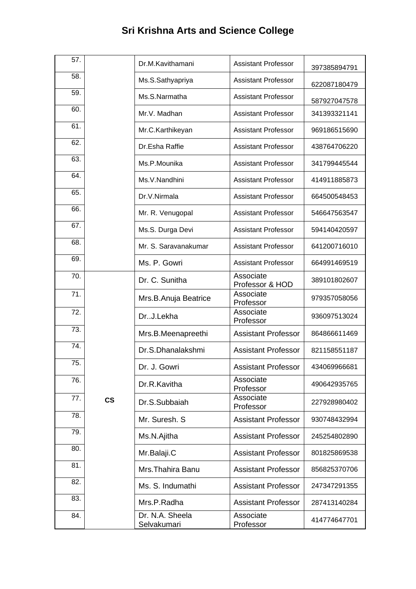| 57. |                          | Dr.M.Kavithamani               | <b>Assistant Professor</b>   | 397385894791 |
|-----|--------------------------|--------------------------------|------------------------------|--------------|
| 58. |                          | Ms.S.Sathyapriya               | <b>Assistant Professor</b>   | 622087180479 |
| 59. |                          | Ms.S.Narmatha                  | <b>Assistant Professor</b>   | 587927047578 |
| 60. |                          | Mr.V. Madhan                   | <b>Assistant Professor</b>   | 341393321141 |
| 61. |                          | Mr.C.Karthikeyan               | <b>Assistant Professor</b>   | 969186515690 |
| 62. |                          | Dr.Esha Raffie                 | <b>Assistant Professor</b>   | 438764706220 |
| 63. |                          | Ms.P.Mounika                   | <b>Assistant Professor</b>   | 341799445544 |
| 64. |                          | Ms.V.Nandhini                  | <b>Assistant Professor</b>   | 414911885873 |
| 65. |                          | Dr.V.Nirmala                   | <b>Assistant Professor</b>   | 664500548453 |
| 66. |                          | Mr. R. Venugopal               | <b>Assistant Professor</b>   | 546647563547 |
| 67. |                          | Ms.S. Durga Devi               | <b>Assistant Professor</b>   | 594140420597 |
| 68. |                          | Mr. S. Saravanakumar           | <b>Assistant Professor</b>   | 641200716010 |
| 69. |                          | Ms. P. Gowri                   | <b>Assistant Professor</b>   | 664991469519 |
| 70. |                          | Dr. C. Sunitha                 | Associate<br>Professor & HOD | 389101802607 |
| 71. |                          | Mrs.B.Anuja Beatrice           | Associate<br>Professor       | 979357058056 |
| 72. |                          | DrJ.Lekha                      | Associate<br>Professor       | 936097513024 |
| 73. |                          | Mrs.B.Meenapreethi             | <b>Assistant Professor</b>   | 864866611469 |
| 74. |                          | Dr.S.Dhanalakshmi              | <b>Assistant Professor</b>   | 821158551187 |
| 75. |                          | Dr. J. Gowri                   | <b>Assistant Professor</b>   | 434069966681 |
| 76. |                          | Dr.R.Kavitha                   | Associate<br>Professor       | 490642935765 |
| 77. | $\mathsf{CS}\phantom{0}$ | Dr.S.Subbaiah                  | Associate<br>Professor       | 227928980402 |
| 78. |                          | Mr. Suresh, S.                 | <b>Assistant Professor</b>   | 930748432994 |
| 79. |                          | Ms.N.Ajitha                    | <b>Assistant Professor</b>   | 245254802890 |
| 80. |                          | Mr.Balaji.C                    | <b>Assistant Professor</b>   | 801825869538 |
| 81. |                          | Mrs. Thahira Banu              | <b>Assistant Professor</b>   | 856825370706 |
| 82. |                          | Ms. S. Indumathi               | <b>Assistant Professor</b>   | 247347291355 |
| 83. |                          | Mrs.P.Radha                    | <b>Assistant Professor</b>   | 287413140284 |
| 84. |                          | Dr. N.A. Sheela<br>Selvakumari | Associate<br>Professor       | 414774647701 |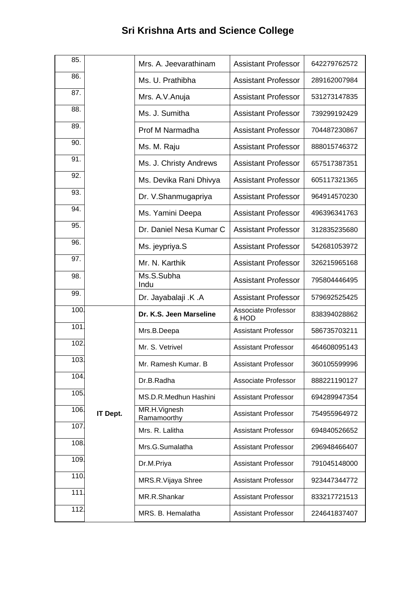| 85.  |                 | Mrs. A. Jeevarathinam       | <b>Assistant Professor</b>   | 642279762572 |
|------|-----------------|-----------------------------|------------------------------|--------------|
| 86.  |                 | Ms. U. Prathibha            | <b>Assistant Professor</b>   | 289162007984 |
| 87.  |                 | Mrs. A.V. Anuja             | <b>Assistant Professor</b>   | 531273147835 |
| 88.  |                 | Ms. J. Sumitha              | <b>Assistant Professor</b>   | 739299192429 |
| 89.  |                 | Prof M Narmadha             | <b>Assistant Professor</b>   | 704487230867 |
| 90.  |                 | Ms. M. Raju                 | <b>Assistant Professor</b>   | 888015746372 |
| 91.  |                 | Ms. J. Christy Andrews      | <b>Assistant Professor</b>   | 657517387351 |
| 92.  |                 | Ms. Devika Rani Dhivya      | <b>Assistant Professor</b>   | 605117321365 |
| 93.  |                 | Dr. V.Shanmugapriya         | <b>Assistant Professor</b>   | 964914570230 |
| 94.  |                 | Ms. Yamini Deepa            | <b>Assistant Professor</b>   | 496396341763 |
| 95.  |                 | Dr. Daniel Nesa Kumar C     | <b>Assistant Professor</b>   | 312835235680 |
| 96.  |                 | Ms. jeypriya.S              | <b>Assistant Professor</b>   | 542681053972 |
| 97.  |                 | Mr. N. Karthik              | <b>Assistant Professor</b>   | 326215965168 |
| 98.  |                 | Ms.S.Subha<br>Indu          | <b>Assistant Professor</b>   | 795804446495 |
| 99.  |                 | Dr. Jayabalaji .K .A        | <b>Assistant Professor</b>   | 579692525425 |
| 100. |                 | Dr. K.S. Jeen Marseline     | Associate Professor<br>& HOD | 838394028862 |
| 101  |                 | Mrs.B.Deepa                 | <b>Assistant Professor</b>   | 586735703211 |
| 102. |                 | Mr. S. Vetrivel             | <b>Assistant Professor</b>   | 464608095143 |
| 103. |                 | Mr. Ramesh Kumar. B         | <b>Assistant Professor</b>   | 360105599996 |
| 104. |                 | Dr.B.Radha                  | <b>Associate Professor</b>   | 888221190127 |
| 105. |                 | MS.D.R.Medhun Hashini       | <b>Assistant Professor</b>   | 694289947354 |
| 106. | <b>IT Dept.</b> | MR.H.Vignesh<br>Ramamoorthy | <b>Assistant Professor</b>   | 754955964972 |
| 107. |                 | Mrs. R. Lalitha             | <b>Assistant Professor</b>   | 694840526652 |
| 108. |                 | Mrs.G.Sumalatha             | <b>Assistant Professor</b>   | 296948466407 |
| 109. |                 | Dr.M.Priya                  | <b>Assistant Professor</b>   | 791045148000 |
| 110. |                 | MRS.R.Vijaya Shree          | <b>Assistant Professor</b>   | 923447344772 |
| 111  |                 | MR.R.Shankar                | <b>Assistant Professor</b>   | 833217721513 |
| 112. |                 | MRS. B. Hemalatha           | <b>Assistant Professor</b>   | 224641837407 |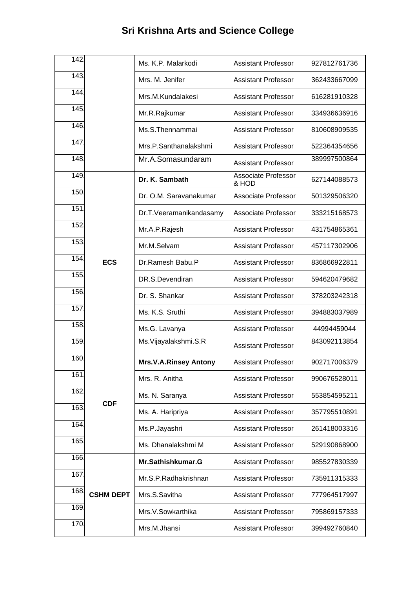| 142. |                  | Ms. K.P. Malarkodi           | <b>Assistant Professor</b>          | 927812761736 |
|------|------------------|------------------------------|-------------------------------------|--------------|
| 143. |                  | Mrs. M. Jenifer              | <b>Assistant Professor</b>          | 362433667099 |
| 144. |                  | Mrs.M.Kundalakesi            | <b>Assistant Professor</b>          | 616281910328 |
| 145. |                  | Mr.R.Rajkumar                | <b>Assistant Professor</b>          | 334936636916 |
| 146. |                  | Ms.S.Thennammai              | <b>Assistant Professor</b>          | 810608909535 |
| 147. |                  | Mrs.P.Santhanalakshmi        | <b>Assistant Professor</b>          | 522364354656 |
| 148. |                  | Mr.A.Somasundaram            | <b>Assistant Professor</b>          | 389997500864 |
| 149. |                  | Dr. K. Sambath               | <b>Associate Professor</b><br>& HOD | 627144088573 |
| 150. |                  | Dr. O.M. Saravanakumar       | <b>Associate Professor</b>          | 501329506320 |
| 151  |                  | Dr.T.Veeramanikandasamy      | <b>Associate Professor</b>          | 333215168573 |
| 152. |                  | Mr.A.P.Rajesh                | <b>Assistant Professor</b>          | 431754865361 |
| 153. |                  | Mr.M.Selvam                  | <b>Assistant Professor</b>          | 457117302906 |
| 154. | <b>ECS</b>       | Dr.Ramesh Babu.P             | <b>Assistant Professor</b>          | 836866922811 |
| 155. |                  | DR.S.Devendiran              | <b>Assistant Professor</b>          | 594620479682 |
| 156. |                  | Dr. S. Shankar               | <b>Assistant Professor</b>          | 378203242318 |
| 157. |                  | Ms. K.S. Sruthi              | <b>Assistant Professor</b>          | 394883037989 |
| 158. |                  | Ms.G. Lavanya                | <b>Assistant Professor</b>          | 44994459044  |
| 159. |                  | Ms.Vijayalakshmi.S.R         | <b>Assistant Professor</b>          | 843092113854 |
| 160. |                  | <b>Mrs.V.A.Rinsey Antony</b> | <b>Assistant Professor</b>          | 902717006379 |
| 161  |                  | Mrs. R. Anitha               | <b>Assistant Professor</b>          | 990676528011 |
| 162  |                  | Ms. N. Saranya               | <b>Assistant Professor</b>          | 553854595211 |
| 163. | <b>CDF</b>       | Ms. A. Haripriya             | <b>Assistant Professor</b>          | 357795510891 |
| 164. |                  | Ms.P.Jayashri                | <b>Assistant Professor</b>          | 261418003316 |
| 165. |                  | Ms. Dhanalakshmi M           | <b>Assistant Professor</b>          | 529190868900 |
| 166. |                  | Mr.Sathishkumar.G            | <b>Assistant Professor</b>          | 985527830339 |
| 167. |                  | Mr.S.P.Radhakrishnan         | <b>Assistant Professor</b>          | 735911315333 |
| 168. | <b>CSHM DEPT</b> | Mrs.S.Savitha                | <b>Assistant Professor</b>          | 777964517997 |
| 169. |                  | Mrs.V.Sowkarthika            | <b>Assistant Professor</b>          | 795869157333 |
| 170. |                  | Mrs.M.Jhansi                 | <b>Assistant Professor</b>          | 399492760840 |
|      |                  |                              |                                     |              |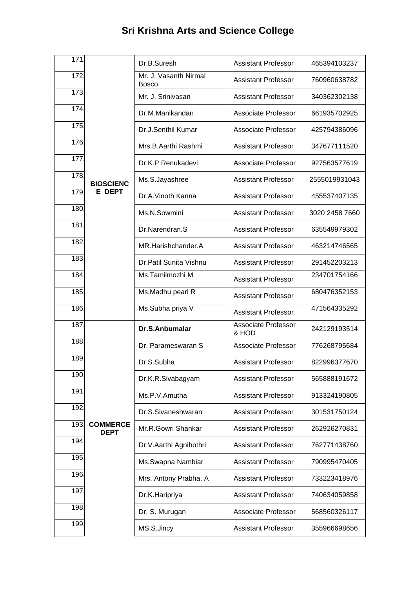| 171  |                                | Dr.B.Suresh                           | <b>Assistant Professor</b>   | 465394103237   |
|------|--------------------------------|---------------------------------------|------------------------------|----------------|
| 172  |                                | Mr. J. Vasanth Nirmal<br><b>Bosco</b> | <b>Assistant Professor</b>   | 760960638782   |
| 173. |                                | Mr. J. Srinivasan                     | <b>Assistant Professor</b>   | 340362302138   |
| 174. |                                | Dr.M.Manikandan                       | Associate Professor          | 661935702925   |
| 175. |                                | Dr.J.Senthil Kumar                    | Associate Professor          | 425794386096   |
| 176. |                                | Mrs.B.Aarthi Rashmi                   | <b>Assistant Professor</b>   | 347677111520   |
| 177. |                                | Dr.K.P.Renukadevi                     | Associate Professor          | 927563577619   |
| 178. | <b>BIOSCIENC</b>               | Ms.S.Jayashree                        | <b>Assistant Professor</b>   | 2555019931043  |
| 179. | <b>E DEPT</b>                  | Dr.A.Vinoth Kanna                     | <b>Assistant Professor</b>   | 455537407135   |
| 180. |                                | Ms.N.Sowmini                          | <b>Assistant Professor</b>   | 3020 2458 7660 |
| 181  |                                | Dr.Narendran.S                        | <b>Assistant Professor</b>   | 635549979302   |
| 182. |                                | MR.Harishchander.A                    | <b>Assistant Professor</b>   | 463214746565   |
| 183. |                                | Dr. Patil Sunita Vishnu               | <b>Assistant Professor</b>   | 291452203213   |
| 184. |                                | Ms.Tamilmozhi M                       | <b>Assistant Professor</b>   | 234701754166   |
| 185. |                                | Ms.Madhu pearl R                      | <b>Assistant Professor</b>   | 680476352153   |
| 186. |                                | Ms.Subha priya V                      | <b>Assistant Professor</b>   | 471564335292   |
| 187. |                                | Dr.S.Anbumalar                        | Associate Professor<br>& HOD | 242129193514   |
| 188. |                                | Dr. Parameswaran S                    | Associate Professor          | 776268795684   |
| 189. |                                | Dr.S.Subha                            | <b>Assistant Professor</b>   | 822996377670   |
| 190. |                                | Dr.K.R.Sivabagyam                     | <b>Assistant Professor</b>   | 565888191672   |
| 191  |                                | Ms.P.V.Amutha                         | <b>Assistant Professor</b>   | 913324190805   |
| 192  |                                | Dr.S.Sivaneshwaran                    | <b>Assistant Professor</b>   | 301531750124   |
| 193. | <b>COMMERCE</b><br><b>DEPT</b> | Mr.R.Gowri Shankar                    | <b>Assistant Professor</b>   | 262926270831   |
| 194. |                                | Dr.V.Aarthi Agnihothri                | <b>Assistant Professor</b>   | 762771438760   |
| 195. |                                | Ms.Swapna Nambiar                     | <b>Assistant Professor</b>   | 790995470405   |
| 196. |                                | Mrs. Antony Prabha. A                 | <b>Assistant Professor</b>   | 733223418976   |
| 197  |                                | Dr.K.Haripriya                        | <b>Assistant Professor</b>   | 740634059858   |
| 198. |                                | Dr. S. Murugan                        | Associate Professor          | 568560326117   |
| 199. |                                | MS.S.Jincy                            | <b>Assistant Professor</b>   | 355966698656   |
|      |                                |                                       |                              |                |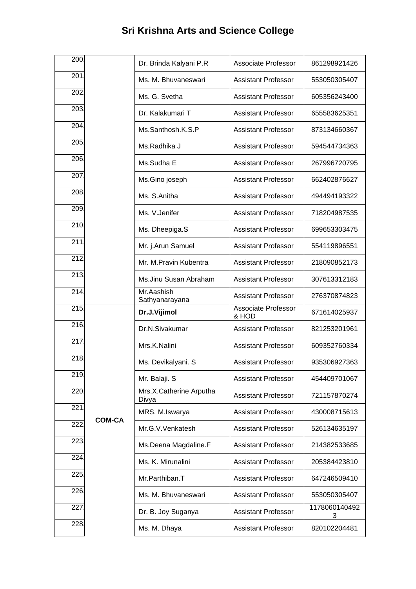| 200. |               | Dr. Brinda Kalyani P.R           | Associate Professor          | 861298921426       |
|------|---------------|----------------------------------|------------------------------|--------------------|
| 201  |               | Ms. M. Bhuvaneswari              | <b>Assistant Professor</b>   | 553050305407       |
| 202. |               | Ms. G. Svetha                    | <b>Assistant Professor</b>   | 605356243400       |
| 203. |               | Dr. Kalakumari T                 | <b>Assistant Professor</b>   | 655583625351       |
| 204. |               | Ms.Santhosh.K.S.P                | <b>Assistant Professor</b>   | 873134660367       |
| 205. |               | Ms.Radhika J                     | <b>Assistant Professor</b>   | 594544734363       |
| 206. |               | Ms.Sudha E                       | <b>Assistant Professor</b>   | 267996720795       |
| 207. |               | Ms.Gino joseph                   | <b>Assistant Professor</b>   | 662402876627       |
| 208. |               | Ms. S.Anitha                     | <b>Assistant Professor</b>   | 494494193322       |
| 209. |               | Ms. V. Jenifer                   | <b>Assistant Professor</b>   | 718204987535       |
| 210. |               | Ms. Dheepiga.S                   | <b>Assistant Professor</b>   | 699653303475       |
| 211. |               | Mr. j.Arun Samuel                | <b>Assistant Professor</b>   | 554119896551       |
| 212. |               | Mr. M.Pravin Kubentra            | <b>Assistant Professor</b>   | 218090852173       |
| 213. |               | Ms.Jinu Susan Abraham            | <b>Assistant Professor</b>   | 307613312183       |
| 214. |               | Mr.Aashish<br>Sathyanarayana     | <b>Assistant Professor</b>   | 276370874823       |
| 215. |               | Dr.J.Vijimol                     | Associate Professor<br>& HOD | 671614025937       |
| 216. |               | Dr.N.Sivakumar                   | <b>Assistant Professor</b>   | 821253201961       |
| 217. |               | Mrs.K.Nalini                     | <b>Assistant Professor</b>   | 609352760334       |
| 218. |               | Ms. Devikalyani. S               | <b>Assistant Professor</b>   | 935306927363       |
| 219. |               | Mr. Balaji. S                    | <b>Assistant Professor</b>   | 454409701067       |
| 220  |               | Mrs.X.Catherine Arputha<br>Divya | <b>Assistant Professor</b>   | 721157870274       |
| 221  | <b>COM-CA</b> | MRS. M.Iswarya                   | <b>Assistant Professor</b>   | 430008715613       |
| 222  |               | Mr.G.V.Venkatesh                 | <b>Assistant Professor</b>   | 526134635197       |
| 223. |               | Ms.Deena Magdaline.F             | <b>Assistant Professor</b>   | 214382533685       |
| 224. |               | Ms. K. Mirunalini                | <b>Assistant Professor</b>   | 205384423810       |
| 225. |               | Mr.Parthiban.T                   | <b>Assistant Professor</b>   | 647246509410       |
| 226. |               | Ms. M. Bhuvaneswari              | <b>Assistant Professor</b>   | 553050305407       |
| 227  |               | Dr. B. Joy Suganya               | <b>Assistant Professor</b>   | 1178060140492<br>3 |
| 228. |               | Ms. M. Dhaya                     | <b>Assistant Professor</b>   | 820102204481       |
|      |               |                                  |                              |                    |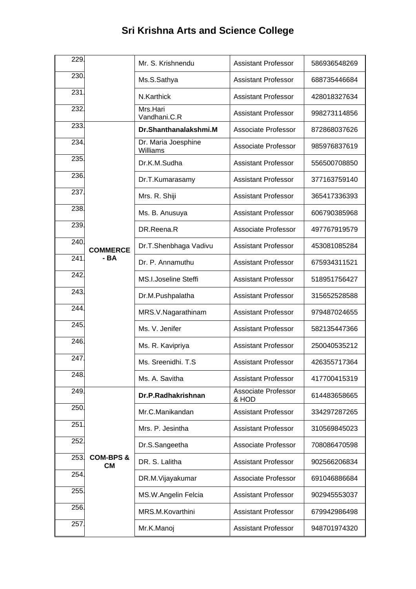| 229. |                            | Mr. S. Krishnendu               | <b>Assistant Professor</b>          | 586936548269 |
|------|----------------------------|---------------------------------|-------------------------------------|--------------|
| 230. |                            | Ms.S.Sathya                     | <b>Assistant Professor</b>          | 688735446684 |
| 231  |                            | N.Karthick                      | <b>Assistant Professor</b>          | 428018327634 |
| 232. |                            | Mrs.Hari<br>Vandhani.C.R        | <b>Assistant Professor</b>          | 998273114856 |
| 233. |                            | Dr.Shanthanalakshmi.M           | <b>Associate Professor</b>          | 872868037626 |
| 234. |                            | Dr. Maria Joesphine<br>Williams | <b>Associate Professor</b>          | 985976837619 |
| 235. |                            | Dr.K.M.Sudha                    | <b>Assistant Professor</b>          | 556500708850 |
| 236. |                            | Dr.T.Kumarasamy                 | <b>Assistant Professor</b>          | 377163759140 |
| 237. |                            | Mrs. R. Shiji                   | <b>Assistant Professor</b>          | 365417336393 |
| 238. |                            | Ms. B. Anusuya                  | <b>Assistant Professor</b>          | 606790385968 |
| 239. |                            | DR.Reena.R                      | Associate Professor                 | 497767919579 |
| 240. | <b>COMMERCE</b>            | Dr.T.Shenbhaga Vadivu           | <b>Assistant Professor</b>          | 453081085284 |
| 241  | - BA                       | Dr. P. Annamuthu                | <b>Assistant Professor</b>          | 675934311521 |
| 242. |                            | <b>MS.I.Joseline Steffi</b>     | <b>Assistant Professor</b>          | 518951756427 |
| 243. |                            | Dr.M.Pushpalatha                | <b>Assistant Professor</b>          | 315652528588 |
| 244. |                            | MRS.V.Nagarathinam              | <b>Assistant Professor</b>          | 979487024655 |
| 245. |                            | Ms. V. Jenifer                  | <b>Assistant Professor</b>          | 582135447366 |
| 246. |                            | Ms. R. Kavipriya                | <b>Assistant Professor</b>          | 250040535212 |
| 247  |                            | Ms. Sreenidhi. T.S.             | <b>Assistant Professor</b>          | 426355717364 |
| 248. |                            | Ms. A. Savitha                  | <b>Assistant Professor</b>          | 417700415319 |
| 249. |                            | Dr.P.Radhakrishnan              | <b>Associate Professor</b><br>& HOD | 614483658665 |
| 250. |                            | Mr.C.Manikandan                 | <b>Assistant Professor</b>          | 334297287265 |
| 251  |                            | Mrs. P. Jesintha                | <b>Assistant Professor</b>          | 310569845023 |
| 252. | <b>COM-BPS &amp;</b><br>CМ | Dr.S.Sangeetha                  | <b>Associate Professor</b>          | 708086470598 |
| 253. |                            | DR. S. Lalitha                  | <b>Assistant Professor</b>          | 902566206834 |
| 254. |                            | DR.M.Vijayakumar                | Associate Professor                 | 691046886684 |
| 255. |                            | MS.W.Angelin Felcia             | <b>Assistant Professor</b>          | 902945553037 |
| 256. |                            | MRS.M.Kovarthini                | <b>Assistant Professor</b>          | 679942986498 |
| 257  |                            | Mr.K.Manoj                      | <b>Assistant Professor</b>          | 948701974320 |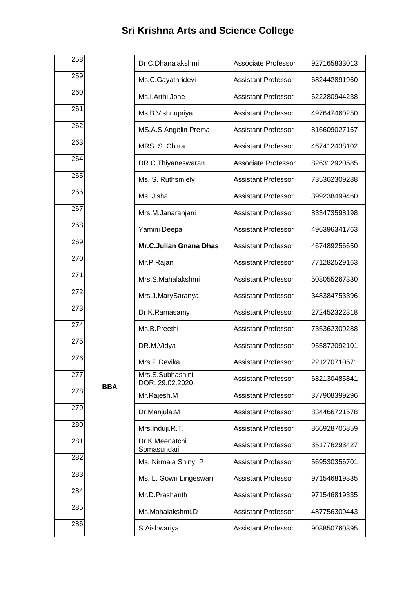| 258. |            |                                     |                            |              |
|------|------------|-------------------------------------|----------------------------|--------------|
|      |            | Dr.C.Dhanalakshmi                   | <b>Associate Professor</b> | 927165833013 |
| 259. |            | Ms.C.Gayathridevi                   | <b>Assistant Professor</b> | 682442891960 |
| 260. |            | Ms.I.Arthi Jone                     | <b>Assistant Professor</b> | 622280944238 |
| 261  |            | Ms.B.Vishnupriya                    | <b>Assistant Professor</b> | 497647460250 |
| 262. |            | MS.A.S.Angelin Prema                | <b>Assistant Professor</b> | 816609027167 |
| 263. |            | MRS. S. Chitra                      | <b>Assistant Professor</b> | 467412438102 |
| 264. |            | DR.C.Thiyaneswaran                  | <b>Associate Professor</b> | 826312920585 |
| 265. |            | Ms. S. Ruthsmiely                   | <b>Assistant Professor</b> | 735362309288 |
| 266. |            | Ms. Jisha                           | <b>Assistant Professor</b> | 399238499460 |
| 267  |            | Mrs.M.Janaranjani                   | <b>Assistant Professor</b> | 833473598198 |
| 268. |            | Yamini Deepa                        | <b>Assistant Professor</b> | 496396341763 |
| 269. |            | <b>Mr.C.Julian Gnana Dhas</b>       | <b>Assistant Professor</b> | 467489256650 |
| 270. |            | Mr.P.Rajan                          | <b>Assistant Professor</b> | 771282529163 |
| 271  |            | Mrs.S.Mahalakshmi                   | <b>Assistant Professor</b> | 508055267330 |
| 272. |            | Mrs.J.MarySaranya                   | <b>Assistant Professor</b> | 348384753396 |
| 273. |            | Dr.K.Ramasamy                       | <b>Assistant Professor</b> | 272452322318 |
| 274. |            | Ms.B.Preethi                        | <b>Assistant Professor</b> | 735362309288 |
| 275. |            | DR.M.Vidya                          | <b>Assistant Professor</b> | 955872092101 |
| 276. |            | Mrs.P.Devika                        | <b>Assistant Professor</b> | 221270710571 |
| 277  | <b>BBA</b> | Mrs.S.Subhashini<br>DOR: 29.02.2020 | <b>Assistant Professor</b> | 682130485841 |
| 278. |            | Mr.Rajesh.M                         | <b>Assistant Professor</b> | 377908399296 |
| 279. |            | Dr.Manjula.M                        | <b>Assistant Professor</b> | 834466721578 |
| 280. |            | Mrs.Induji.R.T.                     | <b>Assistant Professor</b> | 866928706859 |
| 281  |            | Dr.K.Meenatchi<br>Somasundari       | <b>Assistant Professor</b> | 351776293427 |
| 282. |            | Ms. Nirmala Shiny. P                | <b>Assistant Professor</b> | 569530356701 |
| 283. |            | Ms. L. Gowri Lingeswari             | <b>Assistant Professor</b> | 971546819335 |
| 284. |            | Mr.D.Prashanth                      | <b>Assistant Professor</b> | 971546819335 |
| 285. |            | Ms.Mahalakshmi.D                    | <b>Assistant Professor</b> | 487756309443 |
| 286. |            | S.Aishwariya                        | <b>Assistant Professor</b> | 903850760395 |